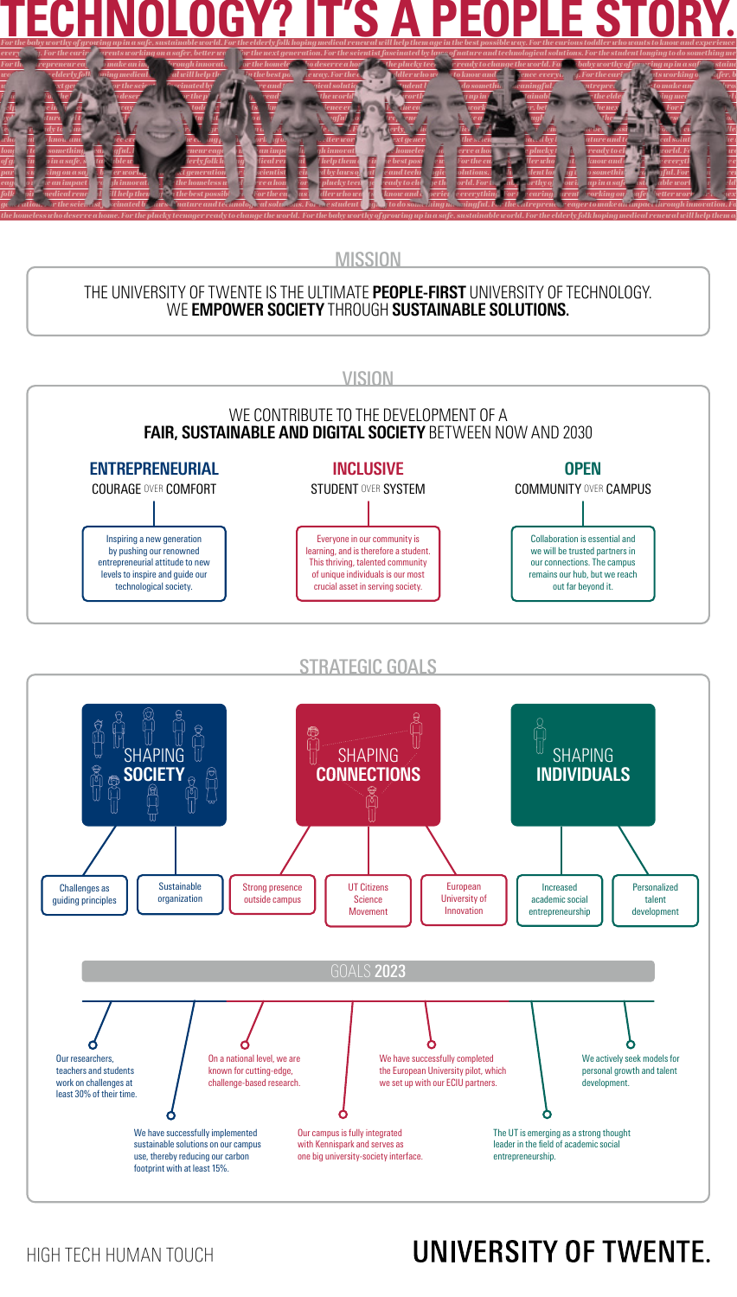

**MISSION** 

folk his redical renewal Whelp them gentlebest possible a For the curious defect to know and experience everything. For the caring arents rorking on a few tetter world for the next or the next of the next of the next of th generation. For the scientist for sciented by laws of nature and technological solutions. For an estudent **longing to do something meaningful. For** the entrepreneur eager to make an impact through innovation. Fo *the homeless who deserve a home. For the plucky teenager ready to change the world. For the baby worthy of growing up in a safe, sustainable world. For the elderly folk hoping medical renewal will help them age* 

## THE UNIVERSITY OF TWENTE IS THE ULTIMATE **PEOPLE-FIRST** UNIVERSITY OF TECHNOLOGY. WE **EMPOWER SOCIETY** THROUGH **SUSTAINABLE SOLUTIONS.**



The UT is emerging as a strong thought leader in the field of academic social entrepreneurship. Our campus is fully integrated with Kennispark and serves as one big university-society interface. We have successfully implemented sustainable solutions on our campus use, thereby reducing our carbon footprint with at least 15%.

## HIGH TECH HUMAN TOUCH

least 30% of their time.

## UNIVERSITY OF TWENTE.